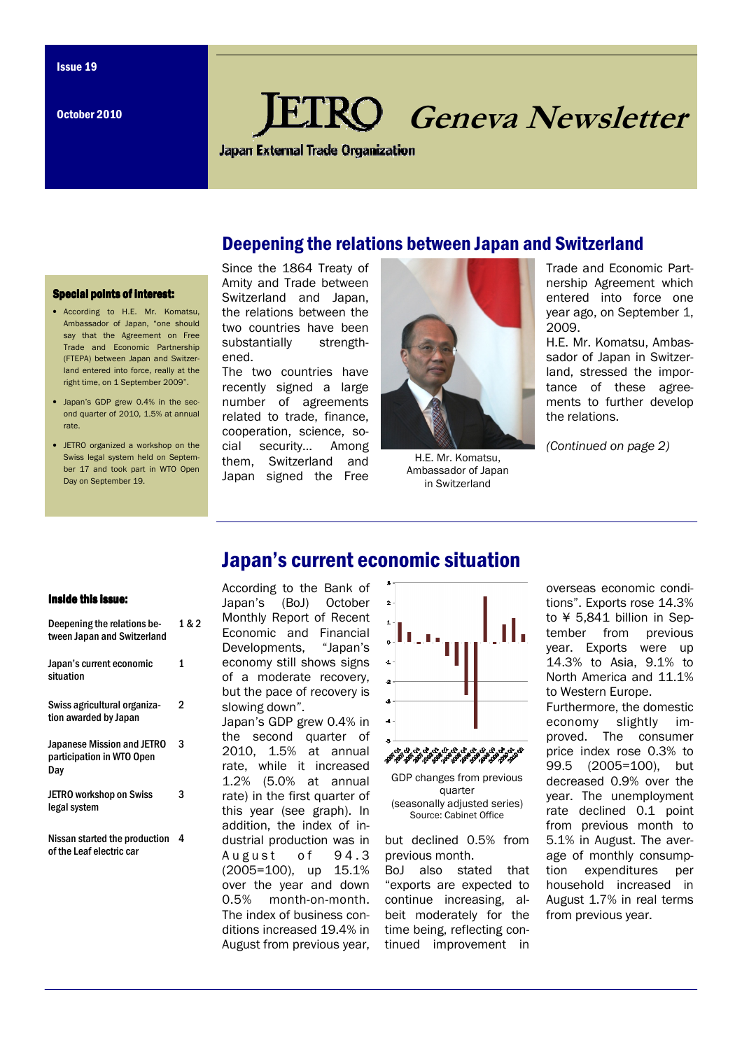October 2010

# **KO** Geneva Newsletter

**Japan External Trade Organization** 

## Deepening the relations between Japan and Switzerland

#### **Special points of interest:**

- According to H.E. Mr. Komatsu, Ambassador of Japan, "one should say that the Agreement on Free Trade and Economic Partnership (FTEPA) between Japan and Switzerland entered into force, really at the right time, on 1 September 2009".
- Japan's GDP grew 0.4% in the second quarter of 2010, 1.5% at annual rate.
- JETRO organized a workshop on the Swiss legal system held on September 17 and took part in WTO Open Day on September 19

Since the 1864 Treaty of Amity and Trade between Switzerland and Japan, the relations between the two countries have been substantially strengthened.

The two countries have recently signed a large number of agreements related to trade, finance, cooperation, science, social security… Among them, Switzerland and Japan signed the Free



H.E. Mr. Komatsu, Ambassador of Japan in Switzerland

Trade and Economic Partnership Agreement which entered into force one year ago, on September 1, 2009.

H.E. Mr. Komatsu, Ambassador of Japan in Switzerland, stressed the importance of these agreements to further develop the relations.

(Continued on page 2)

# Japan's current economic situation

 $\mathbf{s}$  .

#### Inside this issue:

| Deepening the relations be-<br>tween Japan and Switzerland            | 1 & 2 |
|-----------------------------------------------------------------------|-------|
| Japan's current economic<br>situation                                 | 1     |
| Swiss agricultural organiza-<br>tion awarded by Japan                 | 2     |
| <b>Japanese Mission and JETRO</b><br>participation in WTO Open<br>Day | 3     |
| <b>JETRO workshop on Swiss</b><br>legal system                        | 3     |
| Nissan started the production<br>of the Leaf electric car             | 4     |

According to the Bank of Japan's (BoJ) October Monthly Report of Recent Economic and Financial Developments, "Japan's economy still shows signs of a moderate recovery, but the pace of recovery is slowing down".

Japan's GDP grew 0.4% in the second quarter of 2010, 1.5% at annual rate, while it increased 1.2% (5.0% at annual rate) in the first quarter of this year (see graph). In addition, the index of industrial production was in August of 94.3 (2005=100), up 15.1% over the year and down 0.5% month-on-month. The index of business conditions increased 19.4% in August from previous year,



GDP changes from previous quarter (seasonally adjusted series) Source: Cabinet Office

but declined 0.5% from previous month.

BoJ also stated that "exports are expected to continue increasing, albeit moderately for the time being, reflecting continued improvement in

overseas economic conditions". Exports rose 14.3% to ¥ 5,841 billion in September from previous year. Exports were up 14.3% to Asia, 9.1% to North America and 11.1% to Western Europe. Furthermore, the domestic economy slightly improved. The consumer price index rose 0.3% to 99.5 (2005=100), but decreased 0.9% over the year. The unemployment rate declined 0.1 point from previous month to 5.1% in August. The average of monthly consumption expenditures per household increased in August 1.7% in real terms from previous year.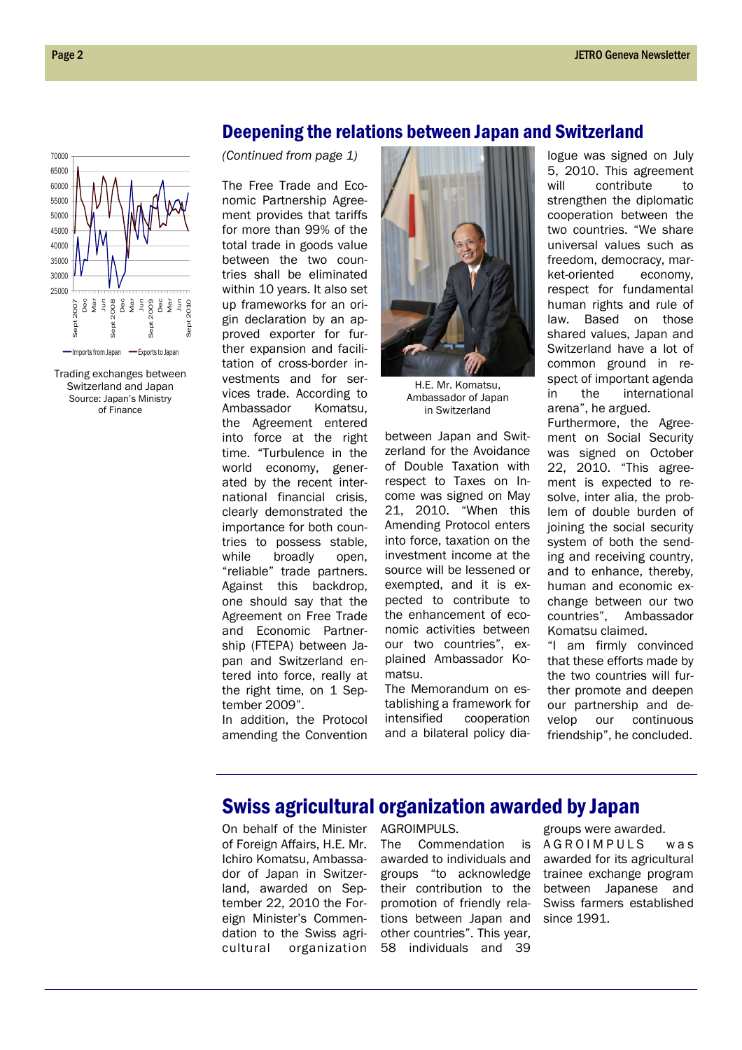

Trading exchanges between Switzerland and Japan Source: Japan's Ministry of Finance

### Deepening the relations between Japan and Switzerland

(Continued from page 1)

The Free Trade and Economic Partnership Agreement provides that tariffs for more than 99% of the total trade in goods value between the two countries shall be eliminated within 10 years. It also set up frameworks for an origin declaration by an approved exporter for further expansion and facilitation of cross-border investments and for services trade. According to Ambassador Komatsu, the Agreement entered into force at the right time. "Turbulence in the world economy, generated by the recent international financial crisis, clearly demonstrated the importance for both countries to possess stable, while broadly open. "reliable" trade partners. Against this backdrop, one should say that the Agreement on Free Trade and Economic Partnership (FTEPA) between Japan and Switzerland entered into force, really at the right time, on 1 September 2009".

In addition, the Protocol amending the Convention



H.E. Mr. Komatsu, Ambassador of Japan in Switzerland

between Japan and Switzerland for the Avoidance of Double Taxation with respect to Taxes on Income was signed on May 21, 2010. "When this Amending Protocol enters into force, taxation on the investment income at the source will be lessened or exempted, and it is expected to contribute to the enhancement of economic activities between our two countries", explained Ambassador Komatsu.

The Memorandum on establishing a framework for intensified cooperation and a bilateral policy dialogue was signed on July 5, 2010. This agreement will contribute to strengthen the diplomatic cooperation between the two countries. "We share universal values such as freedom, democracy, market-oriented economy, respect for fundamental human rights and rule of law. Based on those shared values, Japan and Switzerland have a lot of common ground in respect of important agenda in the international arena", he argued.

Furthermore, the Agreement on Social Security was signed on October 22, 2010. "This agreement is expected to resolve, inter alia, the problem of double burden of joining the social security system of both the sending and receiving country, and to enhance, thereby, human and economic exchange between our two countries", Ambassador Komatsu claimed.

"I am firmly convinced that these efforts made by the two countries will further promote and deepen our partnership and develop our continuous friendship", he concluded.

# Swiss agricultural organization awarded by Japan

On behalf of the Minister of Foreign Affairs, H.E. Mr. Ichiro Komatsu, Ambassador of Japan in Switzerland, awarded on September 22, 2010 the Foreign Minister's Commendation to the Swiss agricultural organization AGROIMPULS.

The Commendation is awarded to individuals and groups "to acknowledge their contribution to the promotion of friendly relations between Japan and other countries". This year, 58 individuals and 39

groups were awarded. A G R O I M P U L S w a s awarded for its agricultural trainee exchange program between Japanese and Swiss farmers established since 1991.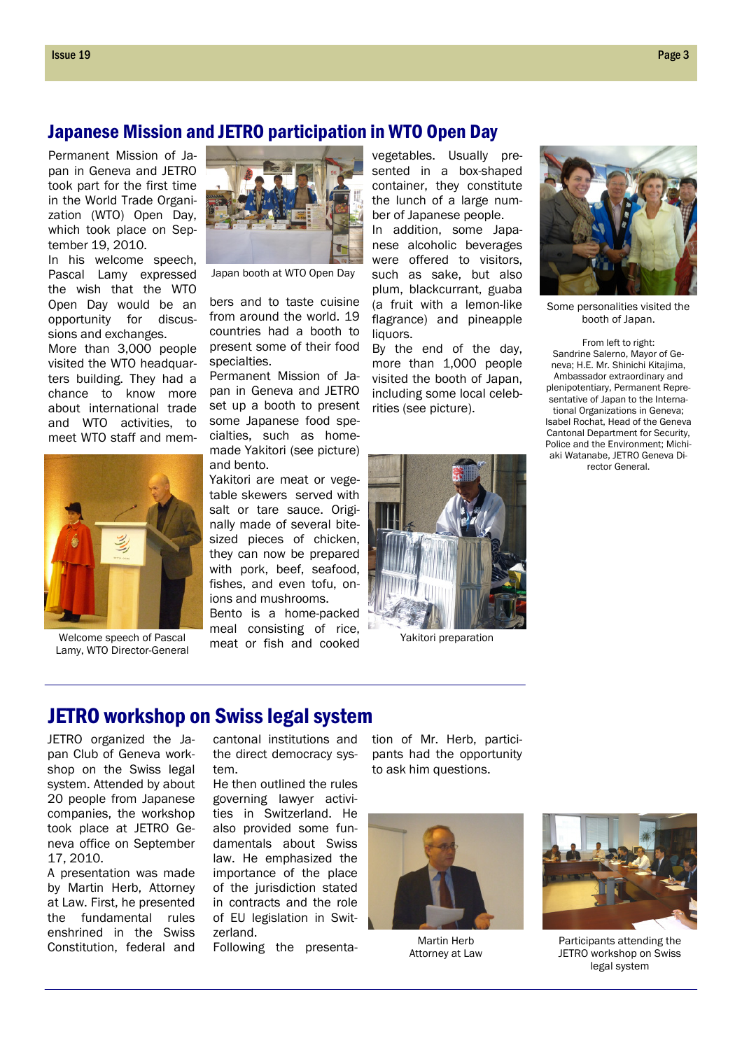#### Japanese Mission and JETRO participation in WTO Open Day

Permanent Mission of Japan in Geneva and JETRO took part for the first time in the World Trade Organization (WTO) Open Day, which took place on September 19, 2010.

In his welcome speech, Pascal Lamy expressed the wish that the WTO Open Day would be an opportunity for discussions and exchanges.

More than 3,000 people visited the WTO headquarters building. They had a chance to know more about international trade and WTO activities, to meet WTO staff and mem-



Lamy, WTO Director-General



Japan booth at WTO Open Day

bers and to taste cuisine from around the world. 19 countries had a booth to present some of their food specialties.

Permanent Mission of Japan in Geneva and JETRO set up a booth to present some Japanese food specialties, such as homemade Yakitori (see picture) and bento.

Yakitori are meat or vegetable skewers served with salt or tare sauce. Originally made of several bitesized pieces of chicken, they can now be prepared with pork, beef, seafood, fishes, and even tofu, onions and mushrooms.

Bento is a home-packed meal consisting of rice, meat or fish and cooked Welcome speech of Pascal *Welcome* Section 1996 and 2001 and 2001 and 2001 and 2001 and 2001 and 2001 and 2001 and 2001 and 2001 and 2001 and 2001 and 2001 and 2001 and 2001 and 2001 and 2001 and 2001 and 2001 and 2001 and

vegetables. Usually presented in a box-shaped container, they constitute the lunch of a large number of Japanese people.

In addition, some Japanese alcoholic beverages were offered to visitors, such as sake, but also plum, blackcurrant, guaba (a fruit with a lemon-like flagrance) and pineapple liquors.

By the end of the day, more than 1,000 people visited the booth of Japan, including some local celebrities (see picture).





Some personalities visited the booth of Japan.

From left to right: Sandrine Salerno, Mayor of Geneva; H.E. Mr. Shinichi Kitajima, Ambassador extraordinary and plenipotentiary, Permanent Representative of Japan to the International Organizations in Geneva; Isabel Rochat, Head of the Geneva Cantonal Department for Security, Police and the Environment; Michiaki Watanabe, JETRO Geneva Director General.

## JETRO workshop on Swiss legal system

JETRO organized the Japan Club of Geneva workshop on the Swiss legal system. Attended by about 20 people from Japanese companies, the workshop took place at JETRO Geneva office on September 17, 2010.

A presentation was made by Martin Herb, Attorney at Law. First, he presented the fundamental rules enshrined in the Swiss Constitution, federal and

cantonal institutions and the direct democracy system.

He then outlined the rules governing lawyer activities in Switzerland. He also provided some fundamentals about Swiss law. He emphasized the importance of the place of the jurisdiction stated in contracts and the role of EU legislation in Switzerland.

Following the presenta-

tion of Mr. Herb, participants had the opportunity to ask him questions.



Martin Herb Attorney at Law



Participants attending the JETRO workshop on Swiss legal system